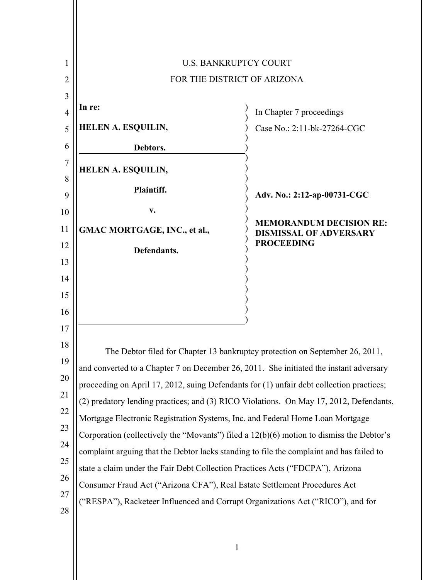

1